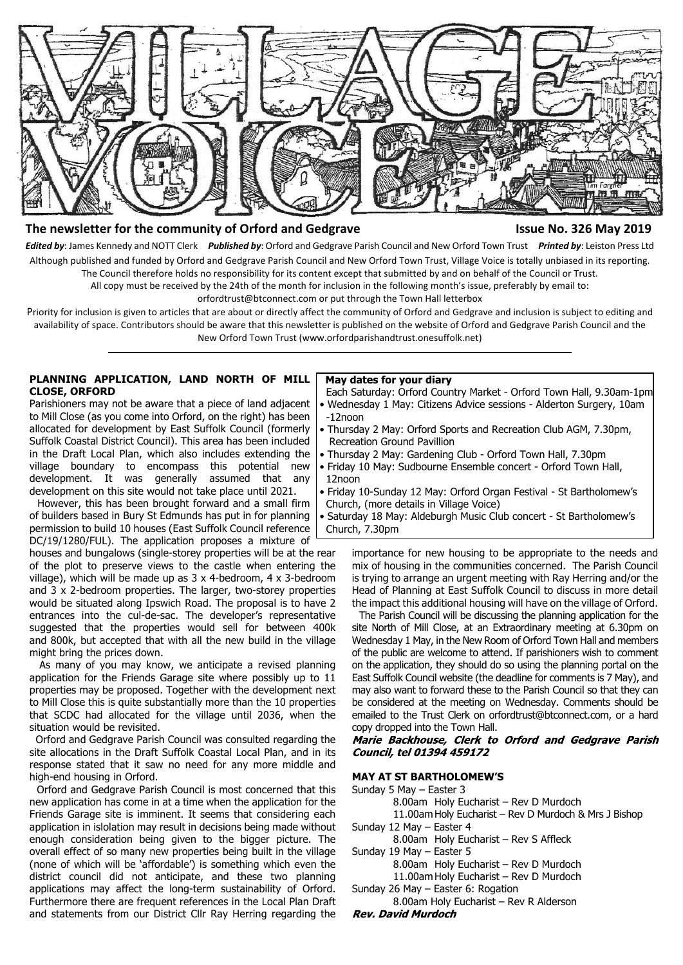

# **The newsletter for the community of Orford and Gedgrave Issue No. 326 May 2019**

*Edited by*: James Kennedy and NOTT Clerk *Published by*: Orford and Gedgrave Parish Council and New Orford Town Trust *Printed by*: Leiston Press Ltd Although published and funded by Orford and Gedgrave Parish Council and New Orford Town Trust, Village Voice is totally unbiased in its reporting. The Council therefore holds no responsibility for its content except that submitted by and on behalf of the Council or Trust.

All copy must be received by the 24th of the month for inclusion in the following month's issue, preferably by email to:

orfordtrust@btconnect.com or put through the Town Hall letterbox

Priority for inclusion is given to articles that are about or directly affect the community of Orford and Gedgrave and inclusion is subject to editing and availability of space. Contributors should be aware that this newsletter is published on the website of Orford and Gedgrave Parish Council and the New Orford Town Trust (www.orfordparishandtrust.onesuffolk.net)

#### **PLANNING APPLICATION, LAND NORTH OF MILL CLOSE, ORFORD**

Parishioners may not be aware that a piece of land adjacent to Mill Close (as you come into Orford, on the right) has been allocated for development by East Suffolk Council (formerly Suffolk Coastal District Council). This area has been included in the Draft Local Plan, which also includes extending the village boundary to encompass this potential new development. It was generally assumed that any development on this site would not take place until 2021.

 However, this has been brought forward and a small firm of builders based in Bury St Edmunds has put in for planning permission to build 10 houses (East Suffolk Council reference DC/19/1280/FUL). The application proposes a mixture of

houses and bungalows (single-storey properties will be at the rear of the plot to preserve views to the castle when entering the village), which will be made up as 3 x 4-bedroom, 4 x 3-bedroom and 3 x 2-bedroom properties. The larger, two-storey properties would be situated along Ipswich Road. The proposal is to have 2 entrances into the cul-de-sac. The developer's representative suggested that the properties would sell for between 400k and 800k, but accepted that with all the new build in the village might bring the prices down.

 As many of you may know, we anticipate a revised planning application for the Friends Garage site where possibly up to 11 properties may be proposed. Together with the development next to Mill Close this is quite substantially more than the 10 properties that SCDC had allocated for the village until 2036, when the situation would be revisited.

 Orford and Gedgrave Parish Council was consulted regarding the site allocations in the Draft Suffolk Coastal Local Plan, and in its response stated that it saw no need for any more middle and high-end housing in Orford.

 Orford and Gedgrave Parish Council is most concerned that this new application has come in at a time when the application for the Friends Garage site is imminent. It seems that considering each application in islolation may result in decisions being made without enough consideration being given to the bigger picture. The overall effect of so many new properties being built in the village (none of which will be 'affordable') is something which even the district council did not anticipate, and these two planning applications may affect the long-term sustainability of Orford. Furthermore there are frequent references in the Local Plan Draft and statements from our District Cllr Ray Herring regarding the

#### **May dates for your diary**

 Each Saturday: Orford Country Market - Orford Town Hall, 9.30am-1pm • Wednesday 1 May: Citizens Advice sessions - Alderton Surgery, 10am -12noon

- Thursday 2 May: Orford Sports and Recreation Club AGM, 7.30pm, Recreation Ground Pavillion
- Thursday 2 May: Gardening Club Orford Town Hall, 7.30pm
- Friday 10 May: Sudbourne Ensemble concert Orford Town Hall, 12noon
- Friday 10-Sunday 12 May: Orford Organ Festival St Bartholomew's Church, (more details in Village Voice)

 • Saturday 18 May: Aldeburgh Music Club concert - St Bartholomew's Church, 7.30pm

importance for new housing to be appropriate to the needs and mix of housing in the communities concerned. The Parish Council is trying to arrange an urgent meeting with Ray Herring and/or the Head of Planning at East Suffolk Council to discuss in more detail the impact this additional housing will have on the village of Orford.

 The Parish Council will be discussing the planning application for the site North of Mill Close, at an Extraordinary meeting at 6.30pm on Wednesday 1 May, in the New Room of Orford Town Hall and members of the public are welcome to attend. If parishioners wish to comment on the application, they should do so using the planning portal on the East Suffolk Council website (the deadline for comments is 7 May), and may also want to forward these to the Parish Council so that they can be considered at the meeting on Wednesday. Comments should be emailed to the Trust Clerk on orfordtrust@btconnect.com, or a hard copy dropped into the Town Hall.

Marie Backhouse, Clerk to Orford and Gedgrave Parish Council, tel 01394 459172

#### **MAY AT ST BARTHOLOMEW'S**

Sunday 5 May – Easter 3

8.00am Holy Eucharist – Rev D Murdoch

11.00am Holy Eucharist – Rev D Murdoch & Mrs J Bishop Sunday 12 May – Easter 4

8.00am Holy Eucharist – Rev S Affleck

Sunday 19 May – Easter 5

8.00am Holy Eucharist – Rev D Murdoch

11.00am Holy Eucharist – Rev D Murdoch

Sunday 26 May – Easter 6: Rogation

8.00am Holy Eucharist – Rev R Alderson

**Rev. David Murdoch**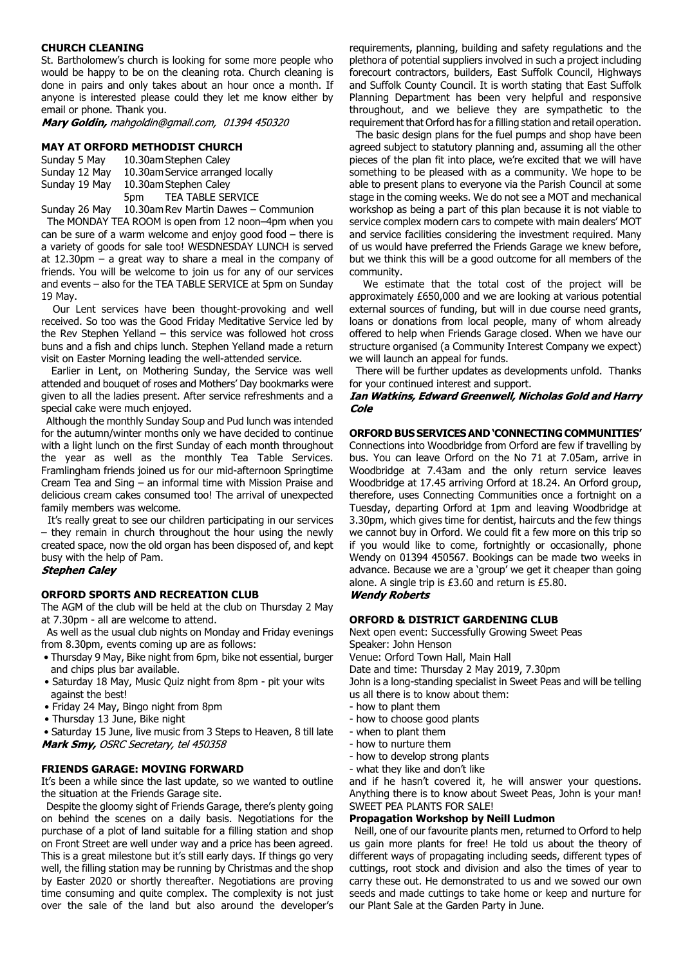### **CHURCH CLEANING**

St. Bartholomew's church is looking for some more people who would be happy to be on the cleaning rota. Church cleaning is done in pairs and only takes about an hour once a month. If anyone is interested please could they let me know either by email or phone. Thank you.

Mary Goldin, mahgoldin@gmail.com, 01394 450320

#### **MAY AT ORFORD METHODIST CHURCH**

Sunday 5 May 10.30am Stephen Caley Sunday 12 May 10.30am Service arranged locally Sunday 19 May 10.30am Stephen Caley 5pm TEA TABLE SERVICE

Sunday 26 May 10.30am Rev Martin Dawes – Communion

 The MONDAY TEA ROOM is open from 12 noon–4pm when you can be sure of a warm welcome and enjoy good food – there is a variety of goods for sale too! WESDNESDAY LUNCH is served at 12.30pm – a great way to share a meal in the company of friends. You will be welcome to join us for any of our services and events – also for the TEA TABLE SERVICE at 5pm on Sunday 19 May.

 Our Lent services have been thought-provoking and well received. So too was the Good Friday Meditative Service led by the Rev Stephen Yelland – this service was followed hot cross buns and a fish and chips lunch. Stephen Yelland made a return visit on Easter Morning leading the well-attended service.

 Earlier in Lent, on Mothering Sunday, the Service was well attended and bouquet of roses and Mothers' Day bookmarks were given to all the ladies present. After service refreshments and a special cake were much enjoyed.

 Although the monthly Sunday Soup and Pud lunch was intended for the autumn/winter months only we have decided to continue with a light lunch on the first Sunday of each month throughout the year as well as the monthly Tea Table Services. Framlingham friends joined us for our mid-afternoon Springtime Cream Tea and Sing – an informal time with Mission Praise and delicious cream cakes consumed too! The arrival of unexpected family members was welcome.

 It's really great to see our children participating in our services – they remain in church throughout the hour using the newly created space, now the old organ has been disposed of, and kept busy with the help of Pam.

# **Stephen Caley**

# **ORFORD SPORTS AND RECREATION CLUB**

The AGM of the club will be held at the club on Thursday 2 May at 7.30pm - all are welcome to attend.

 As well as the usual club nights on Monday and Friday evenings from 8.30pm, events coming up are as follows:

- Thursday 9 May, Bike night from 6pm, bike not essential, burger and chips plus bar available.
- Saturday 18 May, Music Quiz night from 8pm pit your wits against the best!
- Friday 24 May, Bingo night from 8pm
- Thursday 13 June, Bike night

 • Saturday 15 June, live music from 3 Steps to Heaven, 8 till late Mark Smy, OSRC Secretary, tel 450358

#### **FRIENDS GARAGE: MOVING FORWARD**

It's been a while since the last update, so we wanted to outline the situation at the Friends Garage site.

 Despite the gloomy sight of Friends Garage, there's plenty going on behind the scenes on a daily basis. Negotiations for the purchase of a plot of land suitable for a filling station and shop on Front Street are well under way and a price has been agreed. This is a great milestone but it's still early days. If things go very well, the filling station may be running by Christmas and the shop by Easter 2020 or shortly thereafter. Negotiations are proving time consuming and quite complex. The complexity is not just over the sale of the land but also around the developer's

requirements, planning, building and safety regulations and the plethora of potential suppliers involved in such a project including forecourt contractors, builders, East Suffolk Council, Highways and Suffolk County Council. It is worth stating that East Suffolk Planning Department has been very helpful and responsive throughout, and we believe they are sympathetic to the requirement that Orford has for a filling station and retail operation.

 The basic design plans for the fuel pumps and shop have been agreed subject to statutory planning and, assuming all the other pieces of the plan fit into place, we're excited that we will have something to be pleased with as a community. We hope to be able to present plans to everyone via the Parish Council at some stage in the coming weeks. We do not see a MOT and mechanical workshop as being a part of this plan because it is not viable to service complex modern cars to compete with main dealers' MOT and service facilities considering the investment required. Many of us would have preferred the Friends Garage we knew before, but we think this will be a good outcome for all members of the community.

We estimate that the total cost of the project will be approximately £650,000 and we are looking at various potential external sources of funding, but will in due course need grants, loans or donations from local people, many of whom already offered to help when Friends Garage closed. When we have our structure organised (a Community Interest Company we expect) we will launch an appeal for funds.

 There will be further updates as developments unfold. Thanks for your continued interest and support.

Ian Watkins, Edward Greenwell, Nicholas Gold and Harry Cole

# **ORFORD BUS SERVICES AND 'CONNECTING COMMUNITIES'**

Connections into Woodbridge from Orford are few if travelling by bus. You can leave Orford on the No 71 at 7.05am, arrive in Woodbridge at 7.43am and the only return service leaves Woodbridge at 17.45 arriving Orford at 18.24. An Orford group, therefore, uses Connecting Communities once a fortnight on a Tuesday, departing Orford at 1pm and leaving Woodbridge at 3.30pm, which gives time for dentist, haircuts and the few things we cannot buy in Orford. We could fit a few more on this trip so if you would like to come, fortnightly or occasionally, phone Wendy on 01394 450567. Bookings can be made two weeks in advance. Because we are a 'group' we get it cheaper than going alone. A single trip is £3.60 and return is £5.80. **Wendy Roberts** 

**ORFORD & DISTRICT GARDENING CLUB** Next open event: Successfully Growing Sweet Peas Speaker: John Henson Venue: Orford Town Hall, Main Hall Date and time: Thursday 2 May 2019, 7.30pm John is a long-standing specialist in Sweet Peas and will be telling us all there is to know about them:

- how to plant them
- how to choose good plants
- when to plant them
- how to nurture them
- how to develop strong plants
- what they like and don't like

and if he hasn't covered it, he will answer your questions. Anything there is to know about Sweet Peas, John is your man! SWEET PEA PLANTS FOR SALE!

#### **Propagation Workshop by Neill Ludmon**

 Neill, one of our favourite plants men, returned to Orford to help us gain more plants for free! He told us about the theory of different ways of propagating including seeds, different types of cuttings, root stock and division and also the times of year to carry these out. He demonstrated to us and we sowed our own seeds and made cuttings to take home or keep and nurture for our Plant Sale at the Garden Party in June.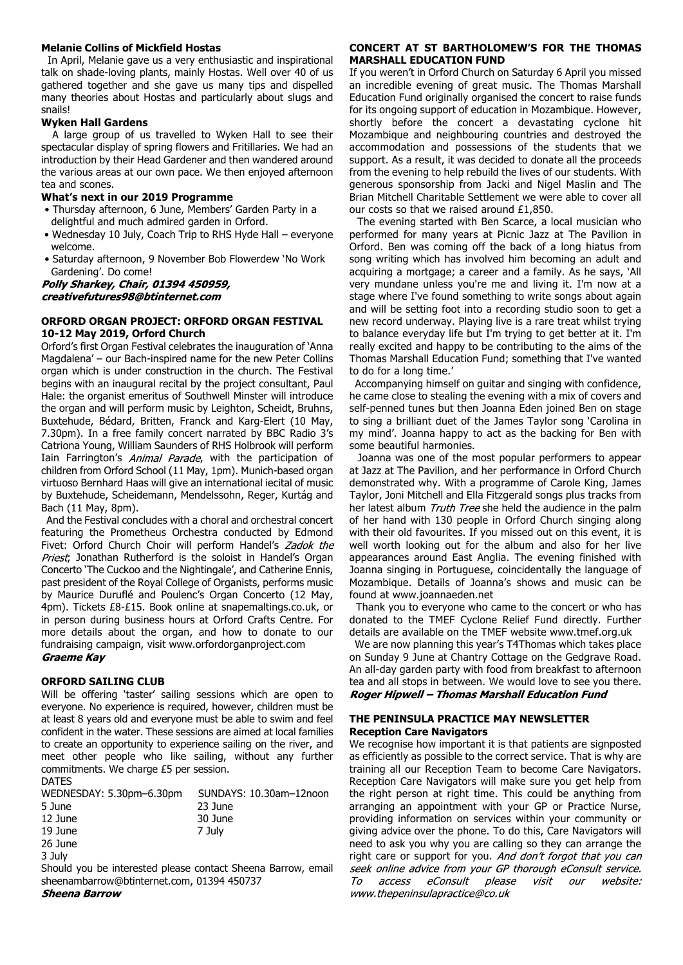### **Melanie Collins of Mickfield Hostas**

 In April, Melanie gave us a very enthusiastic and inspirational talk on shade-loving plants, mainly Hostas. Well over 40 of us gathered together and she gave us many tips and dispelled many theories about Hostas and particularly about slugs and snails!

# **Wyken Hall Gardens**

 A large group of us travelled to Wyken Hall to see their spectacular display of spring flowers and Fritillaries. We had an introduction by their Head Gardener and then wandered around the various areas at our own pace. We then enjoyed afternoon tea and scones.

### **What's next in our 2019 Programme**

- Thursday afternoon, 6 June, Members' Garden Party in a delightful and much admired garden in Orford.
- Wednesday 10 July, Coach Trip to RHS Hyde Hall everyone welcome.
- Saturday afternoon, 9 November Bob Flowerdew 'No Work Gardening'. Do come!<br>**Polly Sharkey, Chair, 01394 450959,**

# creativefutures98@btinternet.com

# **ORFORD ORGAN PROJECT: ORFORD ORGAN FESTIVAL 10-12 May 2019, Orford Church**

Orford's first Organ Festival celebrates the inauguration of 'Anna Magdalena' – our Bach-inspired name for the new Peter Collins organ which is under construction in the church. The Festival begins with an inaugural recital by the project consultant, Paul Hale: the organist emeritus of Southwell Minster will introduce the organ and will perform music by Leighton, Scheidt, Bruhns, Buxtehude, Bédard, Britten, Franck and Karg-Elert (10 May, 7.30pm). In a free family concert narrated by BBC Radio 3's Catriona Young, William Saunders of RHS Holbrook will perform Iain Farrington's Animal Parade, with the participation of children from Orford School (11 May, 1pm). Munich-based organ virtuoso Bernhard Haas will give an international iecital of music by Buxtehude, Scheidemann, Mendelssohn, Reger, Kurtág and Bach (11 May, 8pm).

 And the Festival concludes with a choral and orchestral concert featuring the Prometheus Orchestra conducted by Edmond Fivet: Orford Church Choir will perform Handel's Zadok the Priest, Jonathan Rutherford is the soloist in Handel's Organ Concerto 'The Cuckoo and the Nightingale', and Catherine Ennis, past president of the Royal College of Organists, performs music by Maurice Duruflé and Poulenc's Organ Concerto (12 May, 4pm). Tickets £8-£15. Book online at snapemaltings.co.uk, or in person during business hours at Orford Crafts Centre. For more details about the organ, and how to donate to our fundraising campaign, visit www.orfordorganproject.com<br>Graeme Kav

# **ORFORD SAILING CLUB**

Will be offering 'taster' sailing sessions which are open to everyone. No experience is required, however, children must be at least 8 years old and everyone must be able to swim and feel confident in the water. These sessions are aimed at local families to create an opportunity to experience sailing on the river, and meet other people who like sailing, without any further commitments. We charge £5 per session. DATES

| WEDNESDAY: 5.30pm-6.30pm | SUNDAYS: 10.30am-12noon |
|--------------------------|-------------------------|
| 5 June                   | 23 June                 |
| 12 June                  | 30 June                 |
| 19 June                  | 7 July                  |
| 26 June                  |                         |
| 2.1.1                    |                         |

3 July

Should you be interested please contact Sheena Barrow, email sheenambarrow@btinternet.com, 01394 450737 **Sheena Barrow** 

## **CONCERT AT ST BARTHOLOMEW'S FOR THE THOMAS MARSHALL EDUCATION FUND**

If you weren't in Orford Church on Saturday 6 April you missed an incredible evening of great music. The Thomas Marshall Education Fund originally organised the concert to raise funds for its ongoing support of education in Mozambique. However, shortly before the concert a devastating cyclone hit Mozambique and neighbouring countries and destroyed the accommodation and possessions of the students that we support. As a result, it was decided to donate all the proceeds from the evening to help rebuild the lives of our students. With generous sponsorship from Jacki and Nigel Maslin and The Brian Mitchell Charitable Settlement we were able to cover all our costs so that we raised around £1,850.

 The evening started with Ben Scarce, a local musician who performed for many years at Picnic Jazz at The Pavilion in Orford. Ben was coming off the back of a long hiatus from song writing which has involved him becoming an adult and acquiring a mortgage; a career and a family. As he says, 'All very mundane unless you're me and living it. I'm now at a stage where I've found something to write songs about again and will be setting foot into a recording studio soon to get a new record underway. Playing live is a rare treat whilst trying to balance everyday life but I'm trying to get better at it. I'm really excited and happy to be contributing to the aims of the Thomas Marshall Education Fund; something that I've wanted to do for a long time.'

 Accompanying himself on guitar and singing with confidence, he came close to stealing the evening with a mix of covers and self-penned tunes but then Joanna Eden joined Ben on stage to sing a brilliant duet of the James Taylor song 'Carolina in my mind'. Joanna happy to act as the backing for Ben with some beautiful harmonies.

 Joanna was one of the most popular performers to appear at Jazz at The Pavilion, and her performance in Orford Church demonstrated why. With a programme of Carole King, James Taylor, Joni Mitchell and Ella Fitzgerald songs plus tracks from her latest album Truth Tree she held the audience in the palm of her hand with 130 people in Orford Church singing along with their old favourites. If you missed out on this event, it is well worth looking out for the album and also for her live appearances around East Anglia. The evening finished with Joanna singing in Portuguese, coincidentally the language of Mozambique. Details of Joanna's shows and music can be found at www.joannaeden.net

 Thank you to everyone who came to the concert or who has donated to the TMEF Cyclone Relief Fund directly. Further details are available on the TMEF website www.tmef.org.uk

 We are now planning this year's T4Thomas which takes place on Sunday 9 June at Chantry Cottage on the Gedgrave Road. An all-day garden party with food from breakfast to afternoon tea and all stops in between. We would love to see you there. Roger Hipwell - Thomas Marshall Education Fund

# **THE PENINSULA PRACTICE MAY NEWSLETTER Reception Care Navigators**

We recognise how important it is that patients are signposted as efficiently as possible to the correct service. That is why are training all our Reception Team to become Care Navigators. Reception Care Navigators will make sure you get help from the right person at right time. This could be anything from arranging an appointment with your GP or Practice Nurse, providing information on services within your community or giving advice over the phone. To do this, Care Navigators will need to ask you why you are calling so they can arrange the right care or support for you. And don't forgot that you can seek online advice from your GP thorough eConsult service.  $TQ$ access eConsult please visit our website: www.thepeninsulapractice@co.uk